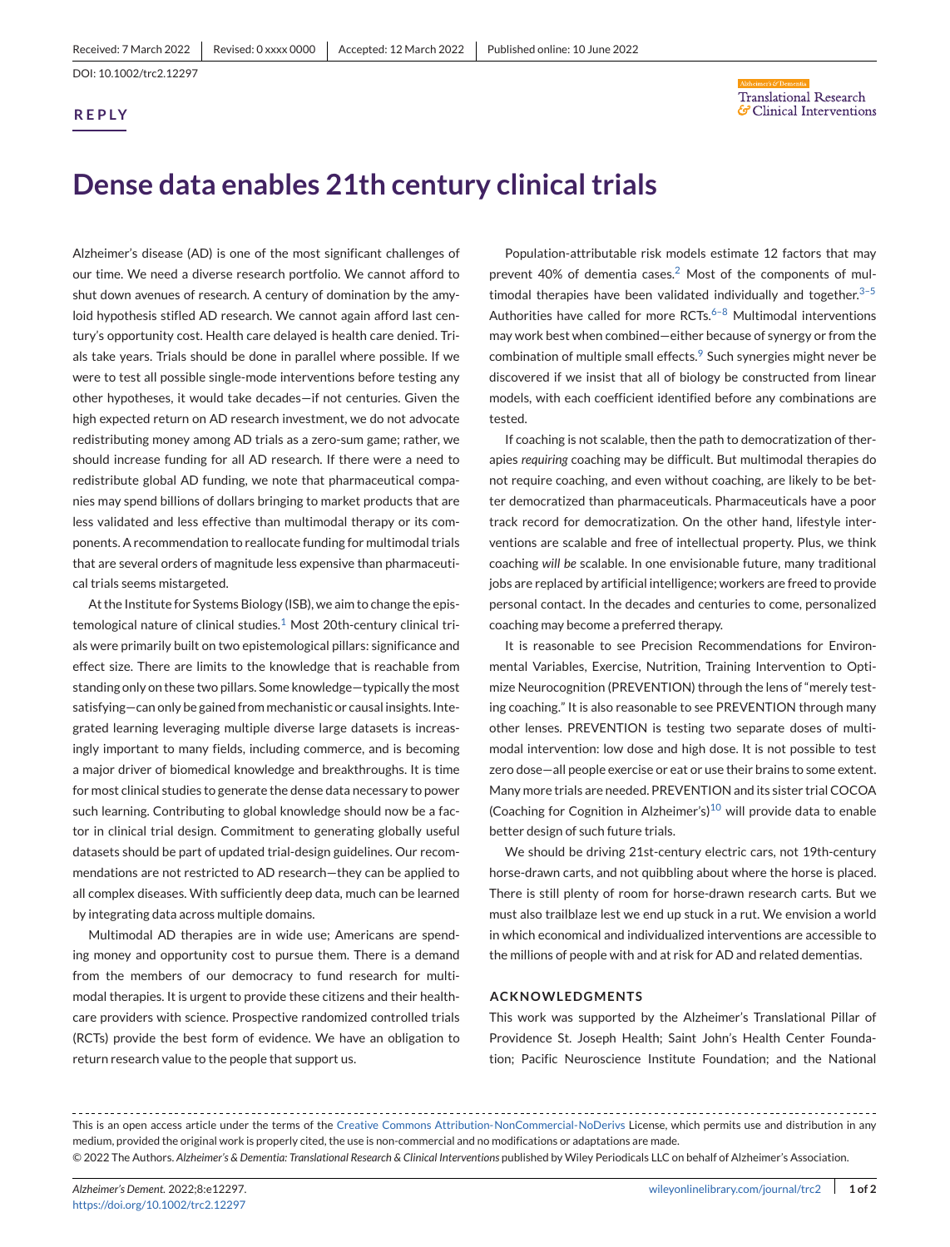**REP LY**

## **Translational Research** G' Clinical Interventions

# **Dense data enables 21th century clinical trials**

Alzheimer's disease (AD) is one of the most significant challenges of our time. We need a diverse research portfolio. We cannot afford to shut down avenues of research. A century of domination by the amyloid hypothesis stifled AD research. We cannot again afford last century's opportunity cost. Health care delayed is health care denied. Trials take years. Trials should be done in parallel where possible. If we were to test all possible single-mode interventions before testing any other hypotheses, it would take decades—if not centuries. Given the high expected return on AD research investment, we do not advocate redistributing money among AD trials as a zero-sum game; rather, we should increase funding for all AD research. If there were a need to redistribute global AD funding, we note that pharmaceutical companies may spend billions of dollars bringing to market products that are less validated and less effective than multimodal therapy or its components. A recommendation to reallocate funding for multimodal trials that are several orders of magnitude less expensive than pharmaceutical trials seems mistargeted.

At the Institute for Systems Biology (ISB), we aim to change the epistemological nature of clinical studies. $1$  Most 20th-century clinical trials were primarily built on two epistemological pillars: significance and effect size. There are limits to the knowledge that is reachable from standing only on these two pillars. Some knowledge—typically the most satisfying—can only be gained from mechanistic or causal insights. Integrated learning leveraging multiple diverse large datasets is increasingly important to many fields, including commerce, and is becoming a major driver of biomedical knowledge and breakthroughs. It is time for most clinical studies to generate the dense data necessary to power such learning. Contributing to global knowledge should now be a factor in clinical trial design. Commitment to generating globally useful datasets should be part of updated trial-design guidelines. Our recommendations are not restricted to AD research—they can be applied to all complex diseases. With sufficiently deep data, much can be learned by integrating data across multiple domains.

Multimodal AD therapies are in wide use; Americans are spending money and opportunity cost to pursue them. There is a demand from the members of our democracy to fund research for multimodal therapies. It is urgent to provide these citizens and their healthcare providers with science. Prospective randomized controlled trials (RCTs) provide the best form of evidence. We have an obligation to return research value to the people that support us.

Population-attributable risk models estimate 12 factors that may prevent 40% of dementia cases.<sup>[2](#page-1-0)</sup> Most of the components of multimodal therapies have been validated individually and together. $3-5$ Authorities have called for more RCTs. $6-8$  Multimodal interventions may work best when combined—either because of synergy or from the combination of multiple small effects.<sup>[9](#page-1-0)</sup> Such synergies might never be discovered if we insist that all of biology be constructed from linear models, with each coefficient identified before any combinations are tested.

If coaching is not scalable, then the path to democratization of therapies *requiring* coaching may be difficult. But multimodal therapies do not require coaching, and even without coaching, are likely to be better democratized than pharmaceuticals. Pharmaceuticals have a poor track record for democratization. On the other hand, lifestyle interventions are scalable and free of intellectual property. Plus, we think coaching *will be* scalable. In one envisionable future, many traditional jobs are replaced by artificial intelligence; workers are freed to provide personal contact. In the decades and centuries to come, personalized coaching may become a preferred therapy.

It is reasonable to see Precision Recommendations for Environmental Variables, Exercise, Nutrition, Training Intervention to Optimize Neurocognition (PREVENTION) through the lens of "merely testing coaching." It is also reasonable to see PREVENTION through many other lenses. PREVENTION is testing two separate doses of multimodal intervention: low dose and high dose. It is not possible to test zero dose—all people exercise or eat or use their brains to some extent. Many more trials are needed. PREVENTION and its sister trial COCOA (Coaching for Cognition in Alzheimer's)<sup>[10](#page-1-0)</sup> will provide data to enable better design of such future trials.

We should be driving 21st-century electric cars, not 19th-century horse-drawn carts, and not quibbling about where the horse is placed. There is still plenty of room for horse-drawn research carts. But we must also trailblaze lest we end up stuck in a rut. We envision a world in which economical and individualized interventions are accessible to the millions of people with and at risk for AD and related dementias.

#### **ACKNOWLEDGMENTS**

This work was supported by the Alzheimer's Translational Pillar of Providence St. Joseph Health; Saint John's Health Center Foundation; Pacific Neuroscience Institute Foundation; and the National

This is an open access article under the terms of the [Creative Commons Attribution-NonCommercial-NoDerivs](http://creativecommons.org/licenses/by-nc-nd/4.0/) License, which permits use and distribution in any medium, provided the original work is properly cited, the use is non-commercial and no modifications or adaptations are made. © 2022 The Authors. *Alzheimer's & Dementia: Translational Research & Clinical Interventions* published by Wiley Periodicals LLC on behalf of Alzheimer's Association.